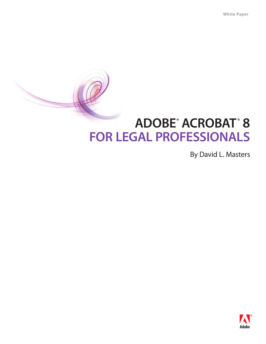# **Adobe® Acrobat® 8 for Legal Professionals**

By David L. Masters

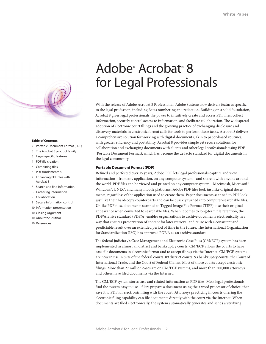

#### **Table of Contents**

- 2 Portable Document Format (PDF)
- 3 [The Acrobat 8 product family](#page-2-0)
- 3 [Legal-specific features](#page-2-0)
- 4 [PDF file creation](#page-3-0)
- 6 [Combining files](#page-5-0)
- 6 [PDF fundamentals](#page-5-0)
- 7 [Enhancing PDF files with](#page-6-0) Acrobat 8
- 7 [Search and find information](#page-6-0)
- 8 [Gathering information](#page-7-0)
- 9 [Collaboration](#page-8-0)
- 9 [Secure information control](#page-8-0)
- 10 [Information presentation](#page-9-0)
- 10 [Closing Argument](#page-9-0)
- 10 [About the Author](#page-9-0)
- 10 [References](#page-9-0)

## Adobe<sup>®</sup> Acrobat<sup>®</sup> 8 for Legal Professionals

With the release of Adobe Acrobat 8 Professional, Adobe Systems now delivers features specific to the legal profession, including Bates numbering and redaction. Building on a solid foundation, Acrobat 8 gives legal professionals the power to intuitively create and access PDF files, collect information, securely control access to information, and facilitate collaboration. The widespread adoption of electronic court filings and the growing practice of exchanging disclosure and discovery materials in electronic format calls for tools to perform those tasks. Acrobat 8 delivers a comprehensive solution for working with digital documents, akin to paper-based routines, with greater efficiency and portability. Acrobat 8 provides simple yet secure solutions for collaboration and exchanging documents with clients and other legal professionals using PDF (Portable Document Format), which has become the de facto standard for digital documents in the legal community.

#### **Portable Document Format (PDF)**

Refined and perfected over 15 years, Adobe PDF lets legal professionals capture and view information—from any application, on any computer system—and share it with anyone around the world. PDF files can be viewed and printed on any computer system—Macintosh, Microsoft® Windows<sup>®</sup>, UNIX<sup>®</sup>, and many mobile platforms. Adobe PDF files look just like original documents, regardless of the application used to create them. Paper documents scanned to PDF look just like their hard-copy counterparts and can be quickly turned into computer-searchable files. Unlike PDF files, documents scanned to Tagged Image File Format (TIFF) lose their original appearance when converted to searchable files. When it comes to long-term file retention, the PDF/Archive standard (PDF/A) enables organizations to archive documents electronically in a way that ensures preservation of content for later retrieval and reuse with a consistent and predictable result over an extended period of time in the future. The International Organization for Standardization (ISO) has approved PDF/A as an archive standard.

The federal judiciary's Case Management and Electronic Case Files (CM/ECF) system has been implemented in almost all district and bankruptcy courts. CM/ECF allows the courts to have case file documents in electronic format and to accept filings via the Internet. CM/ECF systems are now in use in 89% of the federal courts: 89 district courts, 93 bankruptcy courts, the Court of International Trade, and the Court of Federal Claims. Most of those courts accept electronic filings. More than 27 million cases are on CM/ECF systems, and more than 200,000 attorneys and others have filed documents via the Internet.

The CM/ECF system stores case and related information as PDF files. Most legal professionals find the system easy to use—filers prepare a document using their word processor of choice, then save it to PDF for electronic filing with the court. Attorneys practicing in courts offering the electronic filing capability can file documents directly with the court via the Internet. When documents are filed electronically, the system automatically generates and sends a verifying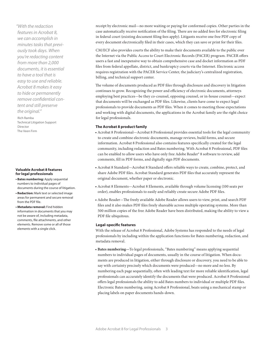<span id="page-2-0"></span>*"With the redaction features in Acrobat 8, we can accomplish in minutes tasks that previously took days. When you're redacting content from more than 2,000 documents, it is essential to have a tool that is easy to use and reliable. Acrobat 8 makes it easy to hide or permanently remove confidential content and still preserve the original."* 

Rich Ramba Technical Litigation Support Director The Veen Firm

## **Valuable Acrobat 8 features for legal professionals**

- **Bates numbering:** Apply sequential numbers to individual pages of documents during the course of litigation.
- **Redaction:** Mark text or selected image areas for permanent and secure removal from the PDF file.
- **Metadata removal:** Find hidden information in documents that you may not be aware of, including metadata, comments, file attachments, and other elements. Remove some or all of those elements with a single click.

receipt by electronic mail—no more waiting or paying for conformed copies. Other parties in the case automatically receive notification of the filing. There are no added fees for electronic filing in federal court (existing document filing fees apply). Litigants receive one free PDF copy of every document electronically filed in their cases, which they can save or print for their files.

CM/ECF also provides courts the ability to make their documents available to the public over the Internet via the Public Access to Court Electronic Records (PACER) program. PACER offers users a fast and inexpensive way to obtain comprehensive case and docket information as PDF files from federal appellate, district, and bankruptcy courts via the Internet. Electronic access requires registration with the PACER Service Center, the judiciary's centralized registration, billing, and technical support center.

The volume of documents produced as PDF files through disclosure and discovery in litigation continues to grow. Recognizing the power and efficiency of electronic documents, attorneys employing best practices—be they co-counsel, opposing counsel, or in-house counsel—expect that documents will be exchanged as PDF files. Likewise, clients have come to expect legal professionals to provide documents as PDF files. When it comes to meeting those expectations and working with digital documents, the applications in the Acrobat family are the right choice for legal professionals.

## **The Acrobat 8 product family**

- Acrobat 8 Professional—Acrobat 8 Professional provides essential tools for the legal community to create and combine electronic documents, manage reviews, build forms, and secure information. Acrobat 8 Professional also contains features specifically created for the legal community, including redaction and Bates numbering. With Acrobat 8 Professional, PDF files can be enabled to allow users who have only free Adobe Reader® 8 software to review, add comments, fill in PDF forms, and digitally sign PDF documents.
- Acrobat 8 Standard—Acrobat 8 Standard offers reliable ways to create, combine, protect, and share Adobe PDF files. Acrobat Standard generates PDF files that accurately represent the original document, whether paper or electronic.
- Acrobat 8 Elements—Acrobat 8 Elements, available through volume licensing (100 seats per order), enables professionals to easily and reliably create secure Adobe PDF files.
- Adobe Reader—The freely available Adobe Reader allows users to view, print, and search PDF files and it also makes PDF files freely shareable across multiple operating systems. More than 500 million copies of the free Adobe Reader have been distributed, making the ability to view a PDF file ubiquitous.

## **Legal-specific features**

With the release of Acrobat 8 Professional, Adobe Systems has responded to the needs of legal professionals by including within the application functions for Bates numbering, redaction, and metadata removal.

• **Bates numbering—**To legal professionals, "Bates numbering" means applying sequential numbers to individual pages of documents, usually in the course of litigation. When documents are produced in litigation, either through disclosure or discovery, you need to be able to say with certainty precisely which documents were produced—no more and no less. By numbering each page sequentially, often with leading text for more reliable identification, legal professionals can accurately identify the documents that were produced. Acrobat 8 Professional offers legal professionals the ability to add Bates numbers to individual or multiple PDF files. Electronic Bates numbering, using Acrobat 8 Professional, beats using a mechanical stamp or placing labels on paper documents hands-down.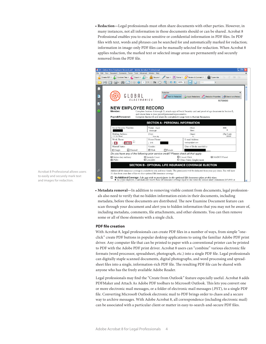<span id="page-3-0"></span>• **Redaction—**Legal professionals must often share documents with other parties. However, in many instances, not all information in those documents should or can be shared. Acrobat 8 Professional enables you to excise sensitive or confidential information in PDF files. In PDF files with text, words and phrases can be searched for and automatically marked for redaction; information in image-only PDF files can be manually selected for redaction. When Acrobat 8 applies redaction, the marked text or selected image areas are permanently and securely removed from the PDF file.

|                                                                                                                             | <b>2</b> 00_Global New Employee Record.pdf - Adobe Acrobat Professional                                                                                                                                                               | ō           |
|-----------------------------------------------------------------------------------------------------------------------------|---------------------------------------------------------------------------------------------------------------------------------------------------------------------------------------------------------------------------------------|-------------|
| File Edit View Document Comments Forms Tools Advanced<br>Window<br>Help                                                     |                                                                                                                                                                                                                                       |             |
| Combine Files -<br>≡<br>主<br>Create PDF +<br>Export *<br>Review & Comment<br>Secure<br>Forms *<br>Typewriter<br><b>Sian</b> |                                                                                                                                                                                                                                       |             |
| Ĥ<br>Find<br>102%<br>Ik.                                                                                                    |                                                                                                                                                                                                                                       |             |
| Ħ                                                                                                                           | Redaction                                                                                                                                                                                                                             | $\mathbf x$ |
| 鵰                                                                                                                           | Apply Redactions<br>Mark for Redaction<br>Redaction Properties<br>$\left  \equiv \right $ Search and Redact                                                                                                                           |             |
| И                                                                                                                           | <b>ELECTRONICS</b><br>16799000                                                                                                                                                                                                        |             |
|                                                                                                                             | <b>NEW EMPLOYEE RECORD</b>                                                                                                                                                                                                            |             |
|                                                                                                                             | Member:<br>Complete Sections A through D, attach copy of Social Security card and proof-of-age document in Section E,                                                                                                                 |             |
|                                                                                                                             | and return form to your payroll/personnel representative.<br>Payroll/Personnel:<br>Complete Section E and return the completed 4-page form to Human Resources.                                                                        |             |
|                                                                                                                             | <b>SECTION A - PERSONAL INFORMATION</b>                                                                                                                                                                                               |             |
|                                                                                                                             | Social Security Number:<br>Name: (Last)<br>(MI)<br>(First)<br>R<br>Dave<br>Boslough                                                                                                                                                   |             |
|                                                                                                                             | Mailing Address:<br>(Zip Code)<br>(City)<br>(State)<br>1141 Fim Street<br>33605<br>Ybor city<br>FL.                                                                                                                                   |             |
|                                                                                                                             | Work Phone:<br>Home Phone:<br>E-mail Address:<br>Ш<br>boslough@aol.com<br>(315)<br>315<br>555 2340                                                                                                                                    |             |
|                                                                                                                             | Marital Status:<br>Gender:<br>Date of Birth: mm/dd/yy                                                                                                                                                                                 |             |
|                                                                                                                             | √ Married<br><b>⊡</b> Male<br>$\Box$ Female<br>$\Box$ Single                                                                                                                                                                          |             |
|                                                                                                                             | Do you have any of the following prior service credit? Please check all that apply:                                                                                                                                                   |             |
|                                                                                                                             | $\Box$ Circuit Clerk<br>□ MoDOT/Patrol<br>Z Active duty military<br>□ Iuvenile Court<br>$\boxtimes$ LAGERS<br>$\Box$ PSRS<br>□ Other Public Employment                                                                                |             |
|                                                                                                                             | <b>SECTION B - OPTIONAL LIFE INSURANCE COVERAGE ELECTION</b>                                                                                                                                                                          |             |
| Ø                                                                                                                           | Additional life insurance coverage is available to you and your family. The premium(s) will be deducted from your pay check. You will have<br>31 days from your date of hire to elect optional life insurance coverage.               |             |
|                                                                                                                             | No Additional Coverage: <i>I do not wish to participate in the optional life insurance plan at this time.</i><br>■ As a state employee, I automatically receive basic life insurance coverage equal to one times my annual salary (mi |             |

• **Metadata removal—**In addition to removing visible content from documents, legal professionals also need to verify that no hidden information exists in their documents, including metadata, before those documents are distributed. The new Examine Document feature can scan through your document and alert you to hidden information that you may not be aware of, including metadata, comments, file attachments, and other elements. You can then remove some or all of those elements with a single click.

## **PDF file creation**

With Acrobat 8, legal professionals can create PDF files in a number of ways, from simple "oneclick" create PDF buttons in popular desktop applications to using the familiar Adobe PDF print driver. Any computer file that can be printed to paper with a conventional printer can be printed to PDF with the Adobe PDF print driver. Acrobat 8 users can "combine" various electronic file formats (word processor, spreadsheet, photograph, etc.) into a single PDF file. Legal professionals can digitally staple scanned documents, digital photographs, and word processing and spreadsheet files into a single, information-rich PDF file. The resulting PDF file can be shared with anyone who has the freely available Adobe Reader.

Legal professionals may find the "Create from Outlook" feature especially useful. Acrobat 8 adds PDFMaker and Attach As Adobe PDF toolbars to Microsoft Outlook. This lets you convert one or more electronic mail messages, or a folder of electronic mail messages (.PST), to a single PDF file. Converting Microsoft Outlook electronic mail to PDF brings order to chaos and a secure way to archive messages. With Adobe Acrobat 8, all correspondence (including electronic mail) can be associated with a particular client or matter in easy-to-search-and-secure PDF files.

Acrobat 8 Professional allows users to easily and securely mark text and images for redaction.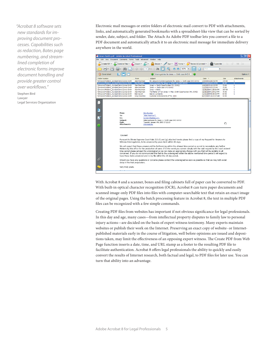*"Acrobat 8 software sets new standards for improving document processes. Capabilities such as redaction, Bates page numbering, and streamlined completion of electronic forms improve document handling and provide greater control over workflows."* 

Stephen Bird Lawyer Legal Services Organization Electronic mail messages or entire folders of electronic mail convert to PDF with attachments, links, and automatically generated bookmarks with a spreadsheet-like view that can be sorted by sender, date, subject, and folder. The Attach As Adobe PDF toolbar lets you convert a file to a PDF document and automatically attach it to an electronic mail message for immediate delivery anywhere in the world.



With Acrobat 8 and a scanner, boxes and filing cabinets full of paper can be converted to PDF. With built-in optical character recognition (OCR), Acrobat 8 can turn paper documents and scanned image-only PDF files into files with computer-searchable text that retain an exact image of the original pages. Using the batch processing feature in Acrobat 8, the text in multiple PDF files can be recognized with a few simple commands.

Creating PDF files from websites has important if not obvious significance for legal professionals. In this day and age, many cases—from intellectual property disputes to family law to personal injury actions—are decided on the basis of expert witness testimony. Many experts maintain websites or publish their work on the Internet. Preserving an exact copy of website- or Internetpublished materials early in the course of litigation, well before opinions are issued and depositions taken, may limit the effectiveness of an opposing expert witness. The Create PDF from Web Page function inserts a date, time, and URL stamp as a footer to the resulting PDF file to facilitate authentication. Acrobat 8 offers legal professionals the ability to quickly and easily convert the results of Internet research, both factual and legal, to PDF files for later use. You can turn that ability into an advantage.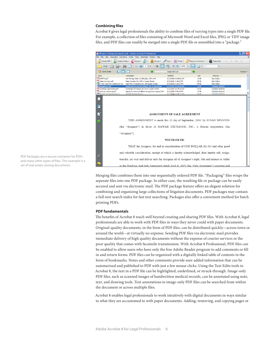## <span id="page-5-0"></span>**Combining files**

Acrobat 8 gives legal professionals the ability to combine files of varying types into a single PDF file. For example, a collection of files consisting of Microsoft Word and Excel files, JPEG or TIFF image files, and PDF files can readily be merged into a single PDF file or assembled into a "package."



Merging files combines them into one sequentially ordered PDF file. "Packaging" files wraps the separate files into one PDF package. In either case, the resulting file or package can be easily secured and sent via electronic mail. The PDF package feature offers an elegant solution for combining and organizing large collections of litigation documents. PDF packages may contain a full-text search index for fast text searching. Packages also offer a convenient method for batch printing PDFs.

## **PDF fundamentals**

The benefits of Acrobat 8 reach well beyond creating and sharing PDF files. With Acrobat 8, legal professionals are able to work with PDF files in ways they never could with paper documents. Original-quality documents, in the form of PDF files, can be distributed quickly—across town or around the world—at virtually no expense. Sending PDF files via electronic mail provides immediate delivery of high quality documents without the expense of courier services or the poor quality that comes with facsimile transmission. With Acrobat 8 Professional, PDF files can be enabled to allow users who have only the free Adobe Reader program to add comments or fill in and return forms. PDF files can be organized with a digitally linked table of contents in the form of bookmarks. Notes and other comments provide user-added information that can be summarized and published to PDF with just a few mouse clicks. Using the Text Edits tools in Acrobat 8, the text in a PDF file can be highlighted, underlined, or struck-through. Image-only PDF files, such as scanned images of handwritten medical records, can be annotated using note, text, and drawing tools. Text annotations to image-only PDF files can be searched from within the document or across multiple files.

Acrobat 8 enables legal professionals to work intuitively with digital documents in ways similar to what they are accustomed to with paper documents. Adding, removing, and copying pages or

PDF Packages are a secure container for PDFs and many other types of files. This example is a set of real estate closing documents.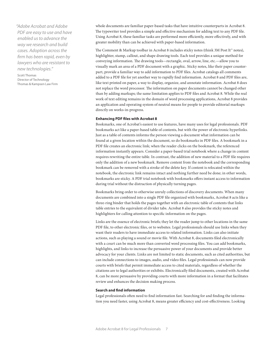<span id="page-6-0"></span>*"Adobe Acrobat and Adobe PDF are easy to use and have enabled us to advance the way we research and build cases. Adoption across the firm has been rapid, even by lawyers who are resistant to new technologies."* 

Scott Thomas Director of Technology Thomas & Kampsen Law Firm

whole documents are familiar paper-based tasks that have intuitive counterparts in Acrobat 8. The typewriter tool provides a simple and effective mechanism for adding text to any PDF file. Using Acrobat 8, these familiar tasks are performed more efficiently, more effectively, and with greater mobility than can be achieved with paper-based information.

The Comment & Markup toolbar in Acrobat 8 includes sticky notes (think 3M Post It™ notes), highlighter, stamp, callout, and shape drawing tools. Each tool provides a unique method for conveying information. The drawing tools—rectangle, oval, arrow, line, etc.—allow you to visually mark an area of a PDF document with a graphic. Sticky notes, like their paper counterpart, provide a familiar way to add information to PDF files. Acrobat catalogs all comments added to a PDF file for yet another way to rapidly find information. Acrobat 8 and PDF files are, like text printed on paper, a way to display, organize, and annotate information. Acrobat 8 does not replace the word processor. The information on paper documents cannot be changed other than by adding markups; the same limitation applies to PDF files and Acrobat 8. While the real work of text editing remains in the domain of word processing applications, Acrobat 8 provides an application and operating system of neutral means for people to provide editorial markups directly on works-in-progress.

## **Enhancing PDF files with Acrobat 8**

Bookmarks, one of Acrobat's easiest to use features, have many uses for legal professionals. PDF bookmarks act like a paper-based table of contents, but with the power of electronic hyperlinks. Just as a table of contents informs the person viewing a document what information can be found at a given location within the document, so do bookmarks in PDF files. A bookmark in a PDF file creates an electronic link; when the reader clicks on the bookmark, the referenced information instantly appears. Consider a paper-based trial notebook where a change in content requires rewriting the entire table. In contrast, the addition of new material to a PDF file requires only the addition of a new bookmark. Remove content from the notebook and the corresponding bookmark can be removed with a stroke of the delete key. If content is relocated within the notebook, the electronic link remains intact and nothing further need be done; in other words, bookmarks are sticky. A PDF trial notebook with bookmarks offers instant access to information during trial without the distraction of physically turning pages.

Bookmarks bring order to otherwise unruly collections of discovery documents. When many documents are combined into a single PDF file organized with bookmarks, Acrobat 8 acts like a three-ring binder that holds the pages together with an electronic table of contents that links table entries to the equivalent of divider tabs. Acrobat 8 also provides the sticky notes and highlighters for calling attention to specific information on the pages.

Links are the essence of electronic briefs; they let the reader jump to other locations in the same PDF file, to other electronic files, or to websites. Legal professionals should use links when they want their readers to have immediate access to related information. Links can also initiate actions, such as playing a sound or movie file. With Acrobat 8, documents filed electronically with a court can be much more than converted word processing files. You can add bookmarks, highlights, and links to increase the persuasive power of your documents and provide better advocacy for your clients. Links are not limited to static documents, such as cited authorities, but can include connections to images, audio, and video files. Legal professionals can now provide courts with briefs that permit immediate access to cited materials, regardless of whether the citations are to legal authorities or exhibits. Electronically filed documents, created with Acrobat 8, can be more persuasive by providing courts with more information in a format that facilitates review and enhances the decision making process.

## **Search and find information**

Legal professionals often need to find information fast. Searching for and finding the information you need faster, using Acrobat 8, means greater efficiency and cost-effectiveness. Looking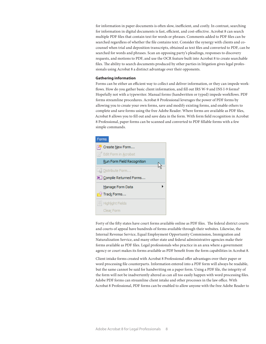<span id="page-7-0"></span>for information in paper documents is often slow, inefficient, and costly. In contrast, searching for information in digital documents is fast, efficient, and cost-effective. Acrobat 8 can search multiple PDF files that contain text for words or phrases. Comments added to PDF files can be searched regardless of whether the file contains text. Consider the synergy with clients and cocounsel when trial and deposition transcripts, obtained as text files and converted to PDF, can be searched for words and phrases. Scan an opposing party's pleadings, responses to discovery requests, and motions to PDF, and use the OCR feature built into Acrobat 8 to create searchable files. The ability to search documents produced by other parties in litigation gives legal professionals using Acrobat 8 a distinct advantage over their opponents.

## **Gathering information**

Forms can be either an efficient way to collect and deliver information, or they can impede workflows. How do you gather basic client information, and fill out IRS W-9 and INS I-9 forms? Hopefully not with a typewriter. Manual forms (handwritten or typed) impede workflows. PDF forms streamline procedures. Acrobat 8 Professional leverages the power of PDF forms by allowing you to create your own forms, save and modify existing forms, and enable others to complete and save forms using the free Adobe Reader. Where forms are available as PDF files, Acrobat 8 allows you to fill out and save data in the form. With form field recognition in Acrobat 8 Professional, paper forms can be scanned and converted to PDF fillable forms with a few simple commands.



Forty of the fifty states have court forms available online as PDF files. The federal district courts and courts of appeal have hundreds of forms available through their websites. Likewise, the Internal Revenue Service, Equal Employment Opportunity Commission, Immigration and Naturalization Service, and many other state and federal administrative agencies make their forms available as PDF files. Legal professionals who practice in an area where a government agency or court makes its forms available as PDF benefit from the form capabilities in Acrobat 8.

Client intake forms created with Acrobat 8 Professional offer advantages over their paper or word processing file counterparts. Information entered into a PDF form will always be readable, but the same cannot be said for handwriting on a paper form. Using a PDF file, the integrity of the form will not be inadvertently altered as can all too easily happen with word processing files. Adobe PDF forms can streamline client intake and other processes in the law office. With Acrobat 8 Professional, PDF forms can be enabled to allow anyone with the free Adobe Reader to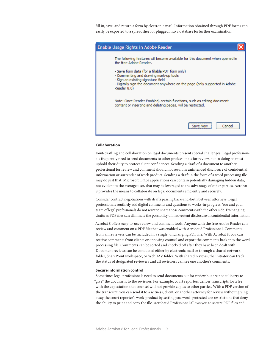fill in, save, and return a form by electronic mail. Information obtained through PDF forms can easily be exported to a spreadsheet or plugged into a database forfurther examination.

<span id="page-8-0"></span>

## **Collaboration**

Joint-drafting and collaboration on legal documents present special challenges. Legal professionals frequently need to send documents to other professionals for review, but in doing so must uphold their duty to protect client confidences. Sending a draft of a document to another professional for review and comment should not result in unintended disclosure of confidential information or surrender of work product. Sending a draft in the form of a word processing file may do just that. Microsoft Office applications can contain potentially damaging hidden data, not evident to the average user, that may be leveraged to the advantage of other parties. Acrobat 8 provides the means to collaborate on legal documents efficiently and securely.

Consider contract negotiations with drafts passing back-and-forth between attorneys. Legal professionals routinely add digital comments and questions to works-in-progress. You and your team of legal professionals do not want to share those comments with the other side. Exchanging drafts as PDF files can eliminate the possibility of inadvertent disclosure of confidential information.

Acrobat 8 offers easy-to-use review and comment tools. Anyone with the free Adobe Reader can review and comment on a PDF file that was enabled with Acrobat 8 Professional. Comments from all reviewers can be included in a single, unchanging PDF file. With Acrobat 8, you can receive comments from clients or opposing counsel and export the comments back into the word processing file. Comments can be sorted and checked off after they have been dealt with. Document reviews can be conducted either by electronic mail or through a shared network folder, SharePoint workspace, or WebDAV folder. With shared reviews, the initiator can track the status of designated reviewers and all reviewers can see one another's comments.

#### **Secure information control**

Sometimes legal professionals need to send documents out for review but are not at liberty to "give" the document to the reviewer. For example, court reporters deliver transcripts for a fee with the expectation that counsel will not provide copies to other parties. With a PDF version of the transcript, you can send it to a witness, client, or another attorney for review without giving away the court reporter's work-product by setting password-protected use restrictions that deny the ability to print and copy the file. Acrobat 8 Professional allows you to secure PDF files and